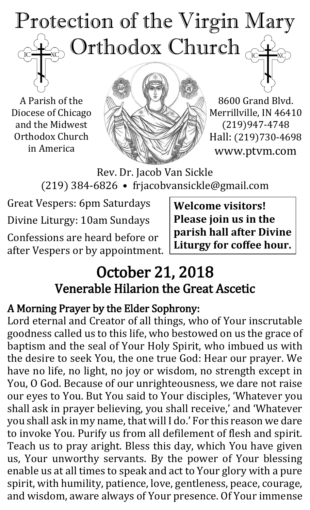# Protection of the Virgin Mary ) Orthodox Church  $_{\odot}$  $\mathrm{IC}$

A Parish of the Diocese of Chicago and the Midwest Orthodox Church in America



8600 Grand Blvd. Merrillville, IN 46410 (219)947-4748 Hall: (219)730-4698 www.ptvm.com

Rev. Dr. Jacob Van Sickle (219) 384-6826 • frjacobvansickle@gmail.com

Great Vespers: 6pm Saturdays Divine Liturgy: 10am Sundays

Confessions are heard before or after Vespers or by appointment. **Welcome visitors! Please join us in the parish hall after Divine Liturgy for coffee hour.**

# October 21, 2018 Venerable Hilarion the Great Ascetic

## A Morning Prayer by the Elder Sophrony:

Lord eternal and Creator of all things, who of Your inscrutable goodness called us to this life, who bestowed on us the grace of baptism and the seal of Your Holy Spirit, who imbued us with the desire to seek You, the one true God: Hear our prayer. We have no life, no light, no joy or wisdom, no strength except in You, O God. Because of our unrighteousness, we dare not raise our eyes to You. But You said to Your disciples, 'Whatever you shall ask in prayer believing, you shall receive,' and 'Whatever you shall ask in my name, that will I do.' For this reason we dare to invoke You. Purify us from all defilement of flesh and spirit. Teach us to pray aright. Bless this day, which You have given us, Your unworthy servants. By the power of Your blessing enable us at all times to speak and act to Your glory with a pure spirit, with humility, patience, love, gentleness, peace, courage, and wisdom, aware always of Your presence. Of Your immense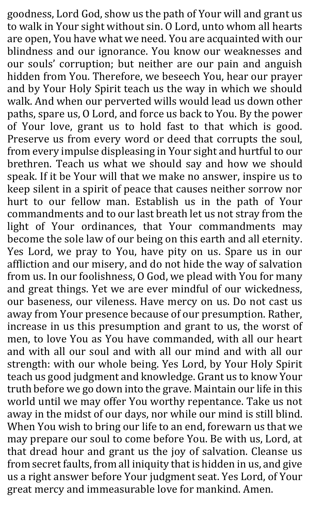goodness, Lord God, show us the path of Your will and grant us to walk in Your sight without sin. O Lord, unto whom all hearts are open, You have what we need. You are acquainted with our blindness and our ignorance. You know our weaknesses and our souls' corruption; but neither are our pain and anguish hidden from You. Therefore, we beseech You, hear our prayer and by Your Holy Spirit teach us the way in which we should walk. And when our perverted wills would lead us down other paths, spare us, O Lord, and force us back to You. By the power of Your love, grant us to hold fast to that which is good. Preserve us from every word or deed that corrupts the soul, from every impulse displeasing in Your sight and hurtful to our brethren. Teach us what we should say and how we should speak. If it be Your will that we make no answer, inspire us to keep silent in a spirit of peace that causes neither sorrow nor hurt to our fellow man. Establish us in the path of Your commandments and to our last breath let us not stray from the light of Your ordinances, that Your commandments may become the sole law of our being on this earth and all eternity. Yes Lord, we pray to You, have pity on us. Spare us in our affliction and our misery, and do not hide the way of salvation from us. In our foolishness, O God, we plead with You for many and great things. Yet we are ever mindful of our wickedness, our baseness, our vileness. Have mercy on us. Do not cast us away from Your presence because of our presumption. Rather, increase in us this presumption and grant to us, the worst of men, to love You as You have commanded, with all our heart and with all our soul and with all our mind and with all our strength: with our whole being. Yes Lord, by Your Holy Spirit teach us good judgment and knowledge. Grant us to know Your truth before we go down into the grave. Maintain our life in this world until we may offer You worthy repentance. Take us not away in the midst of our days, nor while our mind is still blind. When You wish to bring our life to an end, forewarn us that we may prepare our soul to come before You. Be with us, Lord, at that dread hour and grant us the joy of salvation. Cleanse us from secret faults, from all iniquity that is hidden in us, and give us a right answer before Your judgment seat. Yes Lord, of Your great mercy and immeasurable love for mankind. Amen.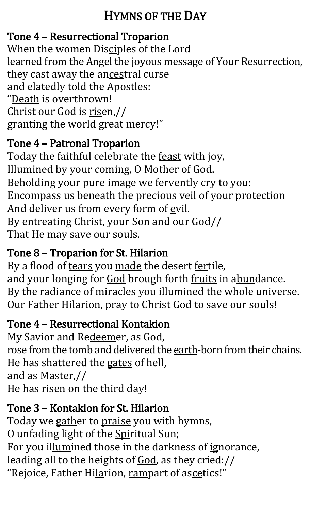## HYMNS OF THE DAY

## Tone 4 – Resurrectional Troparion

When the women Disciples of the Lord learned from the Angel the joyous message of Your Resurrection, they cast away the ancestral curse and elatedly told the Apostles: "Death is overthrown! Christ our God is risen,// granting the world great mercy!"

### Tone 4 – Patronal Troparion

Today the faithful celebrate the **feast** with joy, Illumined by your coming, O Mother of God. Beholding your pure image we fervently cry to you: Encompass us beneath the precious veil of your protection And deliver us from every form of evil. By entreating Christ, your Son and our God// That He may save our souls.

## Tone 8 – Troparion for St. Hilarion

By a flood of tears you made the desert fertile, and your longing for God brough forth fruits in abundance. By the radiance of miracles you illumined the whole universe. Our Father Hilarion, pray to Christ God to save our souls!

## Tone 4 – Resurrectional Kontakion

My Savior and Redeemer, as God, rose from the tomb and delivered the earth-born from their chains. He has shattered the gates of hell, and as Master,// He has risen on the third day!

## Tone 3 – Kontakion for St. Hilarion

Today we gather to praise you with hymns, O unfading light of the Spiritual Sun; For you illumined those in the darkness of ignorance, leading all to the heights of God, as they cried:// "Rejoice, Father Hilarion, rampart of ascetics!"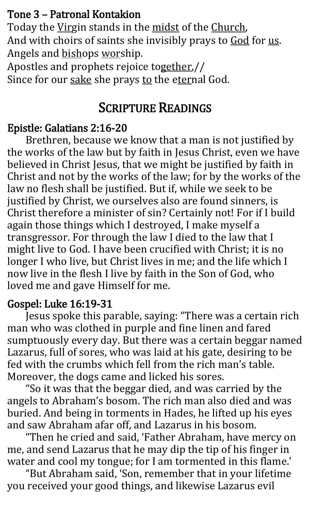#### Tone 3 – Patronal Kontakion

Today the Virgin stands in the midst of the Church, And with choirs of saints she invisibly prays to God for us. Angels and bishops worship.

Apostles and prophets rejoice together,// Since for our sake she prays to the eternal God.

## SCRIPTURE READINGS

### Epistle: Galatians 2:16-20

Brethren, because we know that a man is not justified by the works of the law but by faith in Jesus Christ, even we have believed in Christ Jesus, that we might be justified by faith in Christ and not by the works of the law; for by the works of the law no flesh shall be justified. But if, while we seek to be justified by Christ, we ourselves also are found sinners, is Christ therefore a minister of sin? Certainly not! For if I build again those things which I destroyed, I make myself a transgressor. For through the law I died to the law that I might live to God. I have been crucified with Christ; it is no longer I who live, but Christ lives in me; and the life which I now live in the flesh I live by faith in the Son of God, who loved me and gave Himself for me.

#### Gospel: Luke 16:19-31

Jesus spoke this parable, saying: "There was a certain rich man who was clothed in purple and fine linen and fared sumptuously every day. But there was a certain beggar named Lazarus, full of sores, who was laid at his gate, desiring to be fed with the crumbs which fell from the rich man's table. Moreover, the dogs came and licked his sores.

"So it was that the beggar died, and was carried by the angels to Abraham's bosom. The rich man also died and was buried. And being in torments in Hades, he lifted up his eyes and saw Abraham afar off, and Lazarus in his bosom.

 "Then he cried and said, 'Father Abraham, have mercy on me, and send Lazarus that he may dip the tip of his finger in water and cool my tongue; for I am tormented in this flame.'

 "But Abraham said, 'Son, remember that in your lifetime you received your good things, and likewise Lazarus evil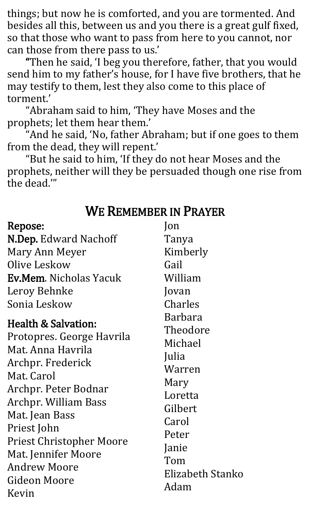things; but now he is comforted, and you are tormented. And besides all this, between us and you there is a great gulf fixed, so that those who want to pass from here to you cannot, nor can those from there pass to us.'

 "Then he said, 'I beg you therefore, father, that you would send him to my father's house, for I have five brothers, that he may testify to them, lest they also come to this place of torment.'

 "Abraham said to him, 'They have Moses and the prophets; let them hear them.'

 "And he said, 'No, father Abraham; but if one goes to them from the dead, they will repent.'

 "But he said to him, 'If they do not hear Moses and the prophets, neither will they be persuaded though one rise from the dead.'"

### WE REMEMBER IN PRAYER

| Repose:                                                                                                                                                                                                                                                                                     | <b>lon</b>                                                                                                                            |
|---------------------------------------------------------------------------------------------------------------------------------------------------------------------------------------------------------------------------------------------------------------------------------------------|---------------------------------------------------------------------------------------------------------------------------------------|
| <b>N.Dep.</b> Edward Nachoff                                                                                                                                                                                                                                                                | Tanya                                                                                                                                 |
| Mary Ann Meyer                                                                                                                                                                                                                                                                              | Kimberly                                                                                                                              |
| Olive Leskow                                                                                                                                                                                                                                                                                | Gail                                                                                                                                  |
| <b>Ev.Mem.</b> Nicholas Yacuk                                                                                                                                                                                                                                                               | William                                                                                                                               |
| Leroy Behnke                                                                                                                                                                                                                                                                                | Jovan                                                                                                                                 |
| Sonia Leskow                                                                                                                                                                                                                                                                                | Charles                                                                                                                               |
| <b>Health &amp; Salvation:</b><br>Protopres. George Havrila<br>Mat Anna Havrila<br>Archpr. Frederick<br>Mat. Carol<br>Archpr. Peter Bodnar<br><b>Archpr. William Bass</b><br>Mat. Jean Bass<br>Priest John<br><b>Priest Christopher Moore</b><br>Mat. Jennifer Moore<br><b>Andrew Moore</b> | Barbara<br>Theodore<br>Michael<br>Julia<br>Warren<br>Mary<br>Loretta<br>Gilbert<br>Carol<br>Peter<br>Janie<br>Tom<br>Elizabeth Stanko |
| Gideon Moore<br>Adam<br>Kevin                                                                                                                                                                                                                                                               |                                                                                                                                       |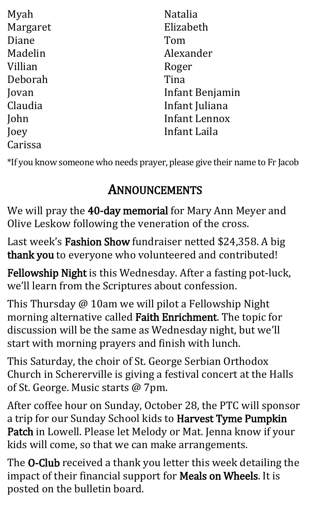| Myah     | <b>Natalia</b>       |
|----------|----------------------|
| Margaret | Elizabeth            |
| Diane    | Tom                  |
| Madelin  | Alexander            |
| Villian  | Roger                |
| Deborah  | Tina                 |
| Jovan    | Infant Benjamin      |
| Claudia  | Infant Juliana       |
| John     | <b>Infant Lennox</b> |
| Joey     | Infant Laila         |
| Carissa  |                      |

\*If you know someone who needs prayer, please give their name to Fr Jacob

# ANNOUNCEMENTS

We will pray the 40-day memorial for Mary Ann Meyer and Olive Leskow following the veneration of the cross.

Last week's Fashion Show fundraiser netted \$24,358. A big thank you to everyone who volunteered and contributed!

Fellowship Night is this Wednesday. After a fasting pot-luck, we'll learn from the Scriptures about confession.

This Thursday @ 10am we will pilot a Fellowship Night morning alternative called Faith Enrichment. The topic for discussion will be the same as Wednesday night, but we'll start with morning prayers and finish with lunch.

This Saturday, the choir of St. George Serbian Orthodox Church in Schererville is giving a festival concert at the Halls of St. George. Music starts @ 7pm.

After coffee hour on Sunday, October 28, the PTC will sponsor a trip for our Sunday School kids to Harvest Tyme Pumpkin Patch in Lowell. Please let Melody or Mat. Jenna know if your kids will come, so that we can make arrangements.

The O-Club received a thank you letter this week detailing the impact of their financial support for **Meals on Wheels**. It is posted on the bulletin board.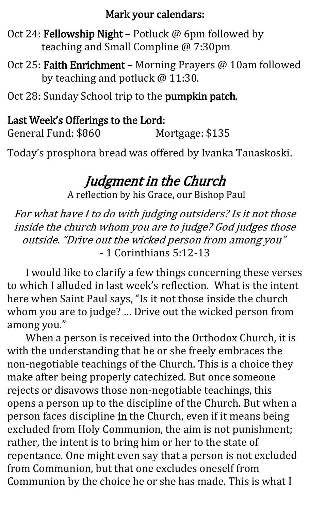#### Mark your calendars:

Oct 24: Fellowship Night – Potluck @ 6pm followed by teaching and Small Compline @ 7:30pm

Oct 25: Faith Enrichment – Morning Prayers @ 10am followed by teaching and potluck @ 11:30.

Oct 28: Sunday School trip to the pumpkin patch.

#### Last Week's Offerings to the Lord:

General Fund: \$860 Mortgage: \$135

Today's prosphora bread was offered by Ivanka Tanaskoski.

## Judgment in the Church

A reflection by his Grace, our Bishop Paul

For what have I to do with judging outsiders? Is it not those inside the church whom you are to judge? God judges those outside. "Drive out the wicked person from among you" - 1 Corinthians 5:12-13

I would like to clarify a few things concerning these verses to which I alluded in last week's reflection. What is the intent here when Saint Paul says, "Is it not those inside the church whom you are to judge? … Drive out the wicked person from among you."

When a person is received into the Orthodox Church, it is with the understanding that he or she freely embraces the non-negotiable teachings of the Church. This is a choice they make after being properly catechized. But once someone rejects or disavows those non-negotiable teachings, this opens a person up to the discipline of the Church. But when a person faces discipline in the Church, even if it means being excluded from Holy Communion, the aim is not punishment; rather, the intent is to bring him or her to the state of repentance. One might even say that a person is not excluded from Communion, but that one excludes oneself from Communion by the choice he or she has made. This is what I